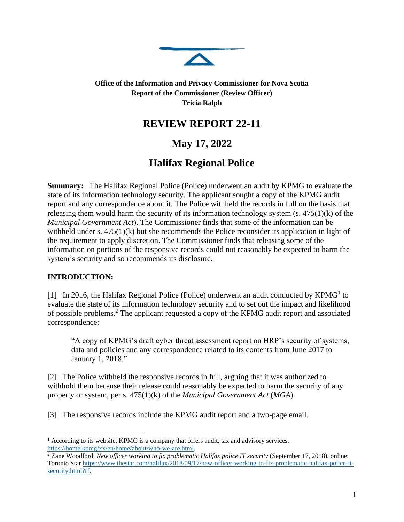

### **Office of the Information and Privacy Commissioner for Nova Scotia Report of the Commissioner (Review Officer) Tricia Ralph**

## **REVIEW REPORT 22-11**

# **May 17, 2022**

# **Halifax Regional Police**

**Summary:** The Halifax Regional Police (Police) underwent an audit by KPMG to evaluate the state of its information technology security. The applicant sought a copy of the KPMG audit report and any correspondence about it. The Police withheld the records in full on the basis that releasing them would harm the security of its information technology system  $(s. 475(1)(k))$  of the *Municipal Government Act*). The Commissioner finds that some of the information can be withheld under s.  $475(1)(k)$  but she recommends the Police reconsider its application in light of the requirement to apply discretion. The Commissioner finds that releasing some of the information on portions of the responsive records could not reasonably be expected to harm the system's security and so recommends its disclosure.

### **INTRODUCTION:**

[1] In 2016, the Halifax Regional Police (Police) underwent an audit conducted by  $KPMG<sup>1</sup>$  to evaluate the state of its information technology security and to set out the impact and likelihood of possible problems.<sup>2</sup> The applicant requested a copy of the KPMG audit report and associated correspondence:

"A copy of KPMG's draft cyber threat assessment report on HRP's security of systems, data and policies and any correspondence related to its contents from June 2017 to January 1, 2018."

[2] The Police withheld the responsive records in full, arguing that it was authorized to withhold them because their release could reasonably be expected to harm the security of any property or system, per s. 475(1)(k) of the *Municipal Government Act* (*MGA*).

[3] The responsive records include the KPMG audit report and a two-page email.

<sup>&</sup>lt;sup>1</sup> According to its website, KPMG is a company that offers audit, tax and advisory services. [https://home.kpmg/xx/en/home/about/who-we-are.html.](https://home.kpmg/xx/en/home/about/who-we-are.html)

<sup>&</sup>lt;sup>2</sup> Zane Woodford, *New officer working to fix problematic Halifax police IT security* (September 17, 2018), online: Toronto Star [https://www.thestar.com/halifax/2018/09/17/new-officer-working-to-fix-problematic-halifax-police-it](https://www.thestar.com/halifax/2018/09/17/new-officer-working-to-fix-problematic-halifax-police-it-security.html?rf)[security.html?rf.](https://www.thestar.com/halifax/2018/09/17/new-officer-working-to-fix-problematic-halifax-police-it-security.html?rf)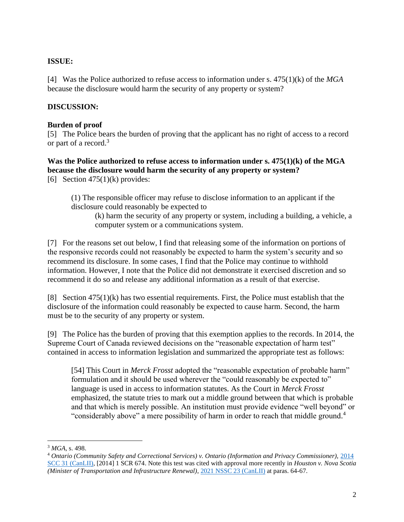#### **ISSUE:**

[4] Was the Police authorized to refuse access to information under s. 475(1)(k) of the *MGA* because the disclosure would harm the security of any property or system?

### **DISCUSSION:**

#### **Burden of proof**

[5] The Police bears the burden of proving that the applicant has no right of access to a record or part of a record.<sup>3</sup>

**Was the Police authorized to refuse access to information under s. 475(1)(k) of the MGA because the disclosure would harm the security of any property or system?**

[6] Section  $475(1)(k)$  provides:

(1) The responsible officer may refuse to disclose information to an applicant if the disclosure could reasonably be expected to

(k) harm the security of any property or system, including a building, a vehicle, a computer system or a communications system.

[7] For the reasons set out below, I find that releasing some of the information on portions of the responsive records could not reasonably be expected to harm the system's security and so recommend its disclosure. In some cases, I find that the Police may continue to withhold information. However, I note that the Police did not demonstrate it exercised discretion and so recommend it do so and release any additional information as a result of that exercise.

[8] Section 475(1)(k) has two essential requirements. First, the Police must establish that the disclosure of the information could reasonably be expected to cause harm. Second, the harm must be to the security of any property or system.

[9] The Police has the burden of proving that this exemption applies to the records. In 2014, the Supreme Court of Canada reviewed decisions on the "reasonable expectation of harm test" contained in access to information legislation and summarized the appropriate test as follows:

[54] This Court in *Merck Frosst* adopted the "reasonable expectation of probable harm" formulation and it should be used wherever the "could reasonably be expected to" language is used in access to information statutes. As the Court in *Merck Frosst* emphasized, the statute tries to mark out a middle ground between that which is probable and that which is merely possible. An institution must provide evidence "well beyond" or "considerably above" a mere possibility of harm in order to reach that middle ground.<sup>4</sup>

<sup>3</sup> *MGA*, s. 498.

<sup>4</sup> *Ontario (Community Safety and Correctional Services) v. Ontario (Information and Privacy Commissioner),* [2014](https://www.canlii.org/en/ca/scc/doc/2014/2014scc31/2014scc31.html)  [SCC 31 \(CanLII\),](https://www.canlii.org/en/ca/scc/doc/2014/2014scc31/2014scc31.html) [2014] 1 SCR 674. Note this test was cited with approval more recently in *Houston v. Nova Scotia (Minister of Transportation and Infrastructure Renewal)*, [2021 NSSC 23 \(CanLII\)](https://www.canlii.org/en/ns/nssc/doc/2021/2021nssc23/2021nssc23.html?autocompleteStr=houston&autocompletePos=2) at paras. 64-67.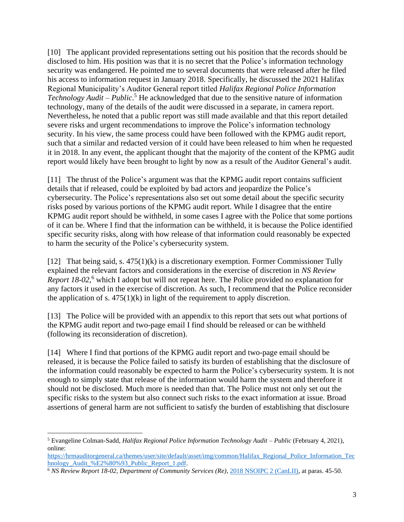[10] The applicant provided representations setting out his position that the records should be disclosed to him. His position was that it is no secret that the Police's information technology security was endangered. He pointed me to several documents that were released after he filed his access to information request in January 2018. Specifically, he discussed the 2021 Halifax Regional Municipality's Auditor General report titled *Halifax Regional Police Information Technology Audit – Public*. <sup>5</sup> He acknowledged that due to the sensitive nature of information technology, many of the details of the audit were discussed in a separate, in camera report. Nevertheless, he noted that a public report was still made available and that this report detailed severe risks and urgent recommendations to improve the Police's information technology security. In his view, the same process could have been followed with the KPMG audit report, such that a similar and redacted version of it could have been released to him when he requested it in 2018. In any event, the applicant thought that the majority of the content of the KPMG audit report would likely have been brought to light by now as a result of the Auditor General's audit.

[11] The thrust of the Police's argument was that the KPMG audit report contains sufficient details that if released, could be exploited by bad actors and jeopardize the Police's cybersecurity. The Police's representations also set out some detail about the specific security risks posed by various portions of the KPMG audit report. While I disagree that the entire KPMG audit report should be withheld, in some cases I agree with the Police that some portions of it can be. Where I find that the information can be withheld, it is because the Police identified specific security risks, along with how release of that information could reasonably be expected to harm the security of the Police's cybersecurity system.

[12] That being said, s. 475(1)(k) is a discretionary exemption. Former Commissioner Tully explained the relevant factors and considerations in the exercise of discretion in *NS Review Report 18-02*, <sup>6</sup> which I adopt but will not repeat here. The Police provided no explanation for any factors it used in the exercise of discretion. As such, I recommend that the Police reconsider the application of s.  $475(1)(k)$  in light of the requirement to apply discretion.

[13] The Police will be provided with an appendix to this report that sets out what portions of the KPMG audit report and two-page email I find should be released or can be withheld (following its reconsideration of discretion).

[14] Where I find that portions of the KPMG audit report and two-page email should be released, it is because the Police failed to satisfy its burden of establishing that the disclosure of the information could reasonably be expected to harm the Police's cybersecurity system. It is not enough to simply state that release of the information would harm the system and therefore it should not be disclosed. Much more is needed than that. The Police must not only set out the specific risks to the system but also connect such risks to the exact information at issue. Broad assertions of general harm are not sufficient to satisfy the burden of establishing that disclosure

<sup>5</sup> Evangeline Colman-Sadd, *Halifax Regional Police Information Technology Audit – Public* (February 4, 2021), online:

[https://hrmauditorgeneral.ca/themes/user/site/default/asset/img/common/Halifax\\_Regional\\_Police\\_Information\\_Tec](https://hrmauditorgeneral.ca/themes/user/site/default/asset/img/common/Halifax_Regional_Police_Information_Technology_Audit_%E2%80%93_Public_Report_1.pdf) hnology\_Audit\_%E2%80%93\_Public\_Report\_1.pdf.

<sup>6</sup> *NS Review Report 18-02, Department of Community Services (Re)*[, 2018 NSOIPC 2 \(CanLII\),](https://www.canlii.org/en/ns/nsfoipop/doc/2018/2018nsoipc2/2018nsoipc2.html?autocompleteStr=18-02&autocompletePos=1) at paras. 45-50.